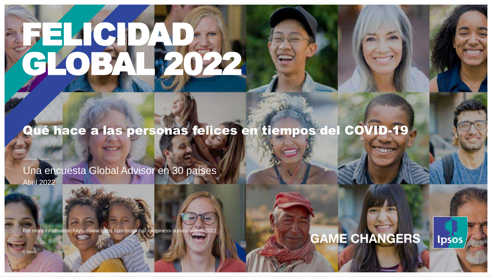# FELICIDAD. GLOBAL 2022

#### Qué hace a las personas felices en tiempos del COVID-19

Abril 2022 Una encuesta Global Advisor en 30 países

For more information: https://www.ipsos.com/en/global-happiness-survey-march-2022

#### **GAME CHANGERS** lpsos

© Ipsos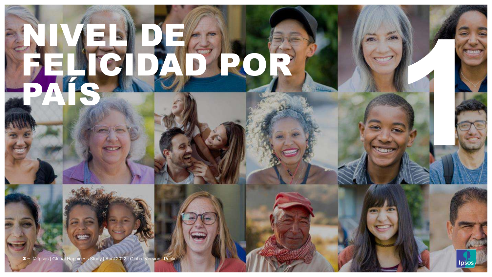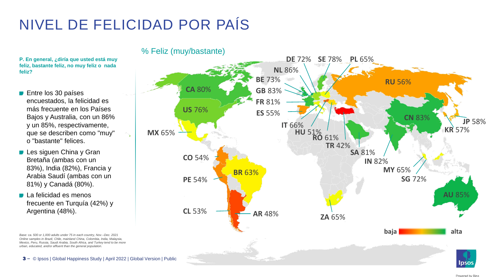#### NIVEL DE FELICIDAD POR PAÍS

**P. En general, ¿diría que usted está muy feliz, bastante feliz, no muy feliz o nada feliz?**

- **Entre los 30 países** encuestados, la felicidad es más frecuente en los Países Bajos y Australia, con un 86% y un 85%, respectivamente, que se describen como "muy" o "bastante" felices.
- **Les siguen China y Gran** Bretaña (ambas con un 83%), India (82%), Francia y Arabia Saudí (ambas con un 81%) y Canadá (80%).
- La felicidad es menos frecuente en Turquía (42%) y Argentina (48%).

*Online samples in Brazil, Chile, mainland China, Colombia, India, Malaysia, Mexico, Peru, Russia, Saudi Arabia, South Africa, and Turkey tend to be more urban, educated, and/or affluent than the general population.*

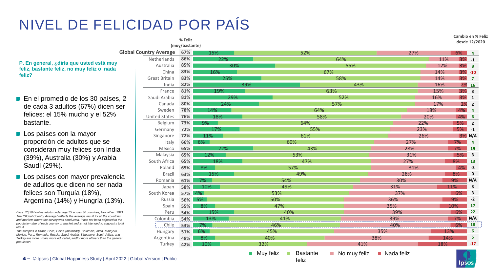#### NIVEL DE FELICIDAD POR PAÍS

**% Feliz** 

- $\blacksquare$  En el promedio de los 30 país de cada 3 adultos (67%) dicer felices: el 15% mucho y el 52% bastante.
- **Los países con la mayor** proporción de adultos que se consideran muy felices son Ind (39%), Australia (30%) y Arabi Saudí (29%).
- $\blacksquare$  Los países con mayor prevale de adultos que dicen no ser na felices son Turquía (18%), Argentina (14%) y Hungría (13

*Base: 20,504 online adults under age 75 across 30 countries, Nov.–Der.* The "Global Country Average" reflects the average result for all the count and markets where the survey was conducted. It has not been adjuste *population size of each country or market and is not intended to suggestion is a to the country or market and is not intended to suggestion*. *result.* 

*The samples in Brazil, Chile, China (mainland), Colombia, India, Malaysia, Mexico, Peru, Romania, Russia, Saudi Arabia, Singapore, South Africa Turkey are more urban, more educated, and/or more affluent than the population.* 

|                     |                               | (muy/bastante) |                                                                                                                       |                              |                                             |                           |     |          |                         |
|---------------------|-------------------------------|----------------|-----------------------------------------------------------------------------------------------------------------------|------------------------------|---------------------------------------------|---------------------------|-----|----------|-------------------------|
|                     | <b>Global Country Average</b> | 67%            | 15%                                                                                                                   | 52%                          |                                             | 27%                       |     | $6\%$    | 4                       |
|                     | Netherlands                   | 86%            | 22%                                                                                                                   |                              | 64%                                         |                           | 11% | $3% -1$  |                         |
| uy                  | Australia                     | 85%            | 30%                                                                                                                   |                              | 55%                                         |                           | 12% | $3\%$ 8  |                         |
| da                  | China                         | 83%            | 16%                                                                                                                   |                              | 67%                                         |                           | 14% | $3% -10$ |                         |
|                     | <b>Great Britain</b>          | 83%            | 25%                                                                                                                   |                              | 58%                                         |                           | 14% | 3%       | $\overline{7}$          |
|                     | India                         | 82%            | 39%                                                                                                                   |                              | 43%                                         |                           | 16% | 2%16     |                         |
|                     | France                        | 81%            | 19%                                                                                                                   |                              | 63%                                         |                           | 15% | $3\%$ 3  |                         |
| es, 2               | Saudi Arabia                  | 81%            | 29%                                                                                                                   |                              | 52%                                         |                           | 16% | 3%1      |                         |
| า ser               | Canada                        | 80%            | 24%                                                                                                                   |                              | 57%                                         |                           | 17% | 2%       | $\overline{\mathbf{2}}$ |
|                     | Sweden                        | 78%            | 14%                                                                                                                   |                              | 64%                                         |                           | 18% | 4%       | $\overline{a}$          |
| ℅                   | <b>United States</b>          | 76%            | 18%                                                                                                                   |                              | 58%                                         |                           | 20% | $4\%$ 6  |                         |
|                     | Belgium                       | 73%            | 9%                                                                                                                    | 64%                          |                                             |                           | 22% | 5%       | $\overline{\mathbf{2}}$ |
|                     | Germany                       | 72%            | 17%                                                                                                                   | 55%                          |                                             |                           | 23% | 5%       | $-1$                    |
|                     | Singapore                     | 72%            | 11%                                                                                                                   | 61%                          |                                             |                           | 26% | $3%$ N/A |                         |
|                     | Italy                         | 66%            | 6%                                                                                                                    | 60%                          |                                             | 27%                       |     | 7%       | $\overline{4}$          |
| dia                 | Mexico                        | 65%            | 22%                                                                                                                   | 43%                          |                                             | 28%                       |     | 7%       | 19                      |
| ia                  | Malaysia                      | 65%            | 12%                                                                                                                   | 53%                          |                                             | 31%                       |     | 5%       | $\overline{\mathbf{3}}$ |
|                     | South Africa                  | 65%            | 18%                                                                                                                   | 47%                          |                                             | 27%                       |     | 8%       | 13                      |
|                     | Poland                        | 65%            | 8%                                                                                                                    | 57%                          |                                             | 31%                       |     | 4%       | $-3$                    |
| ncia؛               | <b>Brazil</b>                 | 63%            | 15%                                                                                                                   | 49%                          |                                             | 28%                       |     | 8%       | $\mathbf 0$             |
|                     | Romania                       | 61%            | 7%                                                                                                                    | 54%                          |                                             | 30%                       |     | 9%       | N/A                     |
| ada                 | Japan                         | 58%            | 10%                                                                                                                   | 49%                          |                                             | 31%                       |     | 11%      | 3                       |
|                     | South Korea                   | 57%            | 4%                                                                                                                    | 53%                          |                                             | 37%                       |     | -6%      | 3                       |
| 3%).                | Russia                        | 56%            | .5%                                                                                                                   | 50%                          |                                             | 36%                       |     | 9%       | $-2$                    |
|                     | Spain                         | 55%            | 8%                                                                                                                    | 47%                          |                                             | 35%                       |     | 10%      | 17                      |
| ec. 2021            | Peru                          | 54%            | 15%                                                                                                                   | 40%                          |                                             | 39%                       |     | 6%       | 22                      |
| untries<br>d to the | Colombia                      | 54%            | 13%                                                                                                                   | 41%                          |                                             | 39%                       |     | 7%       | N/A                     |
| est a total         | <u>Chile</u>                  | 53%.           |                                                                                                                       | 46%                          |                                             | 40%                       |     | 6%       | 18                      |
| ysia,<br>a, and     | Hungary                       | 51%            | 6%                                                                                                                    | 45%                          |                                             | 35%                       | 13% |          | 6                       |
| general             | Argentina                     | 48%            | 8%                                                                                                                    | 40%                          |                                             | 38%                       | 14% |          | 5                       |
|                     | Turkey                        | 42%            | 10%                                                                                                                   | 32%                          | 41%                                         |                           | 18% |          | $-17$                   |
|                     |                               |                | <b>The Contract of the Contract of the Contract of the Contract of the Contract of the Contract of the Contract o</b> | Muy feliz<br><b>Bastante</b> | No muy feliz<br>$\mathcal{C}^{\mathcal{A}}$ | $\blacksquare$ Nada feliz |     |          |                         |

feliz

© Ipsos | Global Happiness Study | April 2022 | Global Version | Public 4 **‒**

**Cambio en % Feliz desde 12/2020**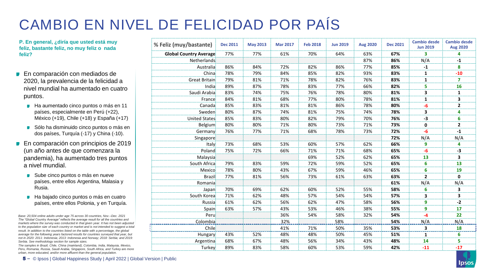#### CAMBIO EN NIVEL DE FELICIDAD POR PAÍS

**P. En general, ¿diría que usted está muy feliz, bastante feliz, no muy feliz o nada feliz?**

- En comparación con mediados de 2020, la prevalencia de la felicidad a nivel mundial ha aumentado en cuatro puntos.
	- Ha aumentado cinco puntos o más en 11 países, especialmente en Perú (+22), México (+19), Chile (+18) y España (+17)
	- Sólo ha disminuido cinco puntos o más en dos países, Turquía (-17) y China (-10).
- **En comparación con principios de 2019** (un año antes de que comenzara la pandemia), ha aumentado tres puntos a nivel mundial.
	- Sube cinco puntos o más en nueve países, entre ellos Argentina, Malasia y Rusia.
	- Ha bajado cinco puntos o más en cuatro países, entre ellos Polonia, y en Turquía.

*Base: 20,504 online adults under age 75 across 30 countries, Nov.–Dec. 2021 The "Global Country Average" reflects the average result for all the countries and markets where the survey was conducted in that given year. It has not been adjusted to the population size of each country or market and is not intended to suggest a total result. In addition to the countries listed on the table with a percentage, the global average for the following years factored results for countries surveyed that year, but not in 2020: 2011: Indonesia; 2013: Indonesia and Norway; 2018: Serbia; and 2019: Serbia. See methodology section for sample sizes.*

*The samples in Brazil, Chile, China (mainland), Colombia, India, Malaysia, Mexico, Peru, Romania, Russia, Saudi Arabia, Singapore, South Africa, and Turkey are more urban, more educated, and/or more affluent than the general population.* 

|  |  | 5 - © Ipsos   Global Happiness Study   April 2022   Global Version   Public |  |  |
|--|--|-----------------------------------------------------------------------------|--|--|
|--|--|-----------------------------------------------------------------------------|--|--|

| % Feliz (muy/bastante)        | <b>Dec 2011</b> | <b>May 2013</b> | <b>Mar 2017</b> | <b>Feb 2018</b> | <b>Jun 2019</b> | <b>Aug 2020</b> | <b>Dec 2021</b> | <b>Cambio desde</b><br><b>Jun 2019</b> | <b>Cambio desde</b><br><b>Aug 2020</b> |
|-------------------------------|-----------------|-----------------|-----------------|-----------------|-----------------|-----------------|-----------------|----------------------------------------|----------------------------------------|
| <b>Global Country Average</b> | 77%             | 77%             | 61%             | 70%             | 64%             | 63%             | 67%             | 3.                                     | 4                                      |
| Netherlands                   |                 |                 |                 |                 |                 | 87%             | 86%             | N/A                                    | $-1$                                   |
| Australia                     | 86%             | 84%             | 72%             | 82%             | 86%             | 77%             | 85%             | $-1$                                   | 8                                      |
| China                         | 78%             | 79%             | 84%             | 85%             | 82%             | 93%             | 83%             | 1                                      | $-10$                                  |
| Great Britain                 | 79%             | 81%             | 71%             | 78%             | 82%             | 76%             | 83%             | 1                                      | $\overline{7}$                         |
| India                         | 89%             | 87%             | 78%             | 83%             | 77%             | 66%             | 82%             | 5                                      | 16                                     |
| Saudi Arabia                  | 83%             | 74%             | 75%             | 76%             | 78%             | 80%             | 81%             | 3                                      | $\mathbf 1$                            |
| France                        | 84%             | 81%             | 68%             | 77%             | 80%             | 78%             | 81%             | 1                                      | 3                                      |
| Canada                        | 85%             | 83%             | 81%             | 81%             | 86%             | 78%             | 80%             | $-6$                                   | $\mathbf{2}$                           |
| Sweden                        | 80%             | 87%             | 74%             | 81%             | 75%             | 74%             | 78%             | 3                                      | 4                                      |
| <b>United States</b>          | 85%             | 83%             | 80%             | 82%             | 79%             | 70%             | 76%             | $-3$                                   | 6                                      |
| Belgium                       | 80%             | 80%             | 71%             | 80%             | 73%             | 71%             | 73%             | 0                                      | $\mathbf{2}$                           |
| Germany                       | 76%             | 77%             | 71%             | 68%             | 78%             | 73%             | 72%             | $-6$                                   | $-1$                                   |
| Singapore                     |                 |                 |                 |                 |                 |                 | 72%             | N/A                                    | N/A                                    |
| Italy                         | 73%             | 68%             | 53%             | 60%             | 57%             | 62%             | 66%             | 9                                      | 4                                      |
| Poland                        | 75%             | 72%             | 66%             | 71%             | 71%             | 68%             | 65%             | $-6$                                   | -3                                     |
| Malaysia                      |                 |                 |                 | 69%             | 52%             | 62%             | 65%             | 13                                     | 3                                      |
| South Africa                  | 79%             | 83%             | 59%             | 72%             | 59%             | 52%             | 65%             | 6                                      | 13                                     |
| Mexico                        | 78%             | 80%             | 43%             | 67%             | 59%             | 46%             | 65%             | 6                                      | 19                                     |
| <b>Brazil</b>                 | 77%             | 81%             | 56%             | 73%             | 61%             | 63%             | 63%             | $\overline{2}$                         | 0                                      |
| Romania                       |                 |                 |                 |                 |                 |                 | 61%             | N/A                                    | N/A                                    |
| Japan                         | 70%             | 69%             | 62%             | 60%             | 52%             | 55%             | 58%             | 6                                      | 3                                      |
| South Korea                   | 71%             | 62%             | 48%             | 57%             | 54%             | 54%             | 57%             | 3                                      | 3                                      |
| Russia                        | 61%             | 62%             | 56%             | 62%             | 47%             | 58%             | 56%             | 9                                      | $-2$                                   |
| Spain                         | 63%             | 57%             | 43%             | 53%             | 46%             | 38%             | 55%             | 9                                      | 17                                     |
| Peru                          |                 |                 | 36%             | 54%             | 58%             | 32%             | 54%             | $-4$                                   | 22                                     |
| Colombia                      |                 |                 | 32%             |                 | 58%             |                 | 54%             | N/A                                    | N/A                                    |
| Chile                         |                 |                 | 41%             | 71%             | 50%             | 35%             | 53%             | 3                                      | 18                                     |
| Hungary                       | 43%             | 52%             | 48%             | 48%             | 50%             | 45%             | 51%             | $\mathbf{1}$                           | 6                                      |
| Argentina                     | 68%             | 67%             | 48%             | 56%             | 34%             | 43%             | 48%             | 14                                     | 5                                      |
| Turkey                        | 89%             | 83%             | 58%             | 60%             | 53%             | 59%             | 42%             | $-11$                                  | $-17$                                  |

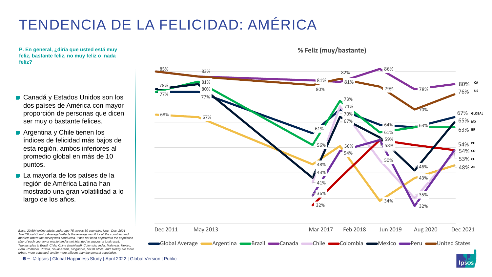#### TENDENCIA DE LA FELICIDAD: AMÉRICA

**feliz, bastante feliz, no muy feliz o nada feliz?**

- Canadá y Estados Unidos son los dos países de América con mayor proporción de personas que dicen ser muy o bastante felices.
- Argentina y Chile tienen los índices de felicidad más bajos de esta región, ambos inferiores al promedio global en más de 10 puntos.
- La mayoría de los países de la región de América Latina han mostrado una gran volatilidad a lo largo de los años.

*Base: 20,504 online adults under age 75 across 30 countries, Nov.–Dec. 2021*

*The "Global Country Average" reflects the average result for all the countries and markets where the survey was conducted. It has not been adjusted to the population size of each country or market and is not intended to suggest a total result. The samples in Brazil, Chile, China (mainland), Colombia, India, Malaysia, Mexico, Peru, Romania, Russia, Saudi Arabia, Singapore, South Africa, and Turkey are more urban, more educated, and/or more affluent than the general population.* 

**P. En general, ¿diría que usted está muy % Feliz (muy/bastante)** 85% 83% 86% 82% 81% 81% 81% **CA** 80% 78% 79% 80% 80% 78% **US** 76% 77% 77% 73% 71% 70% 68% 67% **GLOBAL** 70% 67% 65% **MX** 67% 64% **63%** 61% 63% BR 61% 63% 59% 54% **PE** 56% 58% 56% 54% **CO** 54% 53% **CL** 50% 48% 46% 48% **AR** 43% Z 43% 41% 36% 35% 34%  $\triangle$  32% 32% Dec 2011 May 2013 Mar 2017 Feb 2018 Jun 2019 Aug 2020 Dec 2021 Global Average **Argentina Brazil Canada** Chile Colombia Mexico Peru Dited States

lpso

6 - © Ipsos | Global Happiness Study | April 2022 | Global Version | Public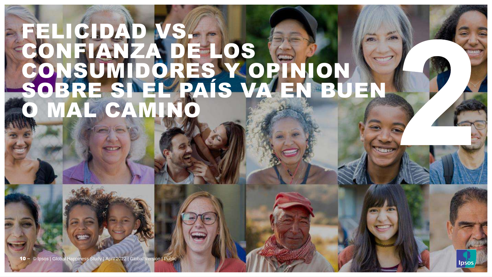## FELICIDAD VS. CONFIANZA DE LOS CONSUMIDORES Y OPINION SOBRE SI EL PAÍS VA EN BUEN **MAL CAMINO**

10 - © Ipsos | Global Happiness Study | April 2022 | Global Version | Public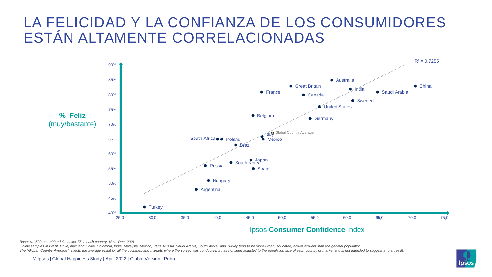#### LA FELICIDAD Y LA CONFIANZA DE LOS CONSUMIDORES ESTÁN ALTAMENTE CORRELACIONADAS



*Base: ca. 500 or 1,000 adults under 75 in each country, Nov.–Dec. 2021*

Online samples in Brazil, Chile, mainland China, Colombia, India, Malaysia, Mexico, Peru, Russia, Saudi Arabia, South Africa, and Turkey tend to be more urban, educated, and/or affluent than the general population. The "Global Country Average" reflects the average result for all the countries and markets where the survey was conducted. It has not been adjusted to the population size of each country or market and is not intended to su

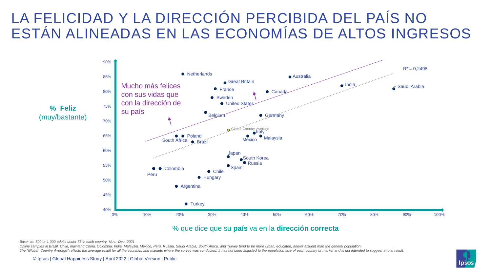#### LA FELICIDAD Y LA DIRECCIÓN PERCIBIDA DEL PAÍS NO ESTÁN ALINEADAS EN LAS ECONOMÍAS DE ALTOS INGRESOS



#### % que dice que su **país** va en la **dirección correcta**

*Base: ca. 500 or 1,000 adults under 75 in each country, Nov.–Dec. 2021*

Online samples in Brazil, Chile, mainland China, Colombia, India, Malaysia, Mexico, Peru, Russia, Saudi Arabia, South Africa, and Turkey tend to be more urban, educated, and/or affluent than the general population. The "Global Country Average" reflects the average result for all the countries and markets where the survey was conducted. It has not been adjusted to the population size of each country or market and is not intended to su

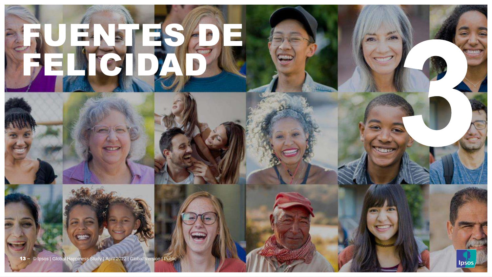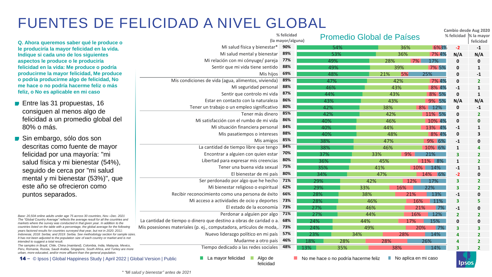#### FUENTES DE FELICIDAD A NIVEL GLOBAL

**Q. Ahora queremos saber qué le produce o le produciría la mayor felicidad en la vida. Indique si cada uno de los siguientes aspectos le produce o le produciría felicidad en la vida: Me produce o podría producirme la mayor felicidad, Me produce o podría producirme algo de felicidad, No me hace o no podría hacerme feliz o más feliz, o No es aplicable en mi caso**

- Entre las 31 propuestas, 16 consiguen al menos algo de felicidad a un promedio global del 80% o más.
- Sin embargo, sólo dos son descritas como fuente de mayor felicidad por una mayoría: "mi salud física y mi bienestar (54%), seguido de cerca por "mi salud mental y mi bienestar (53%)", que este año se ofrecieron como puntos separados.

*Base: 20,504 online adults under age 75 across 30 countries, Nov.–Dec. 2021 The "Global Country Average" reflects the average result for all the countries and markets where the survey was conducted in that given year. In addition to the countries listed on the table with a percentage, the global average for the following years factored results for countries surveyed that year, but not in 2020: 2011: Indonesia; 2018: Serbia; and 2019: Serbia. See methodology section for sample sizes. It has not been adjusted to the population size of each country or market and is not intended to suggest a total result.* 

*The samples in Brazil, Chile, China (mainland), Colombia, India, Malaysia, Mexico, Peru, Romania, Russia, Saudi Arabia, Singapore, South Africa, and Turkey are more urban, more educated, and/or more affluent than the general population.* 

14 - © Ipsos | Global Happiness Study | April 2022 | Global Version | Public

|                                                                    | % felicidad<br>(la mayor/alguna) |     |     | <b>Promedio Global de Países</b> |       |               |                | % felicidad  % la mayor<br>felicidad |
|--------------------------------------------------------------------|----------------------------------|-----|-----|----------------------------------|-------|---------------|----------------|--------------------------------------|
| Mi salud física y bienestar*                                       | 90%                              | 54% |     |                                  | 36%   | 6%3%          | $-2$           | $-1$                                 |
| Mi salud mental y bienestar                                        | 89%                              | 53% |     |                                  | 36%   | 7% 4%         | N/A            | N/A                                  |
| Mi relación con mi cónyuge/ pareja                                 | 77%                              | 49% |     | 28%                              | 7%    | 17%           | 0              | 0                                    |
| Sentir que mi vida tiene sentido                                   | 88%                              | 49% |     |                                  | 39%   | 7% 5%         | 0              | 1                                    |
| Mis hijos                                                          | 69%                              | 48% |     | 21%                              | 5%    | 25%           | 0              | -1                                   |
| Mis condiciones de vida (agua, alimentos, vivienda)                | 89%                              | 47% |     |                                  | 42%   | 7% 4%         | 0              | $\overline{2}$                       |
| Mi seguridad personal                                              | 88%                              | 46% |     |                                  | 43%   | 8% 4%         | $-1$           | 1                                    |
| Sentir que controlo mi vida                                        | 87%                              | 44% |     |                                  | 43%   | 8% 5%         | 0              | 1                                    |
| Estar en contacto con la naturaleza                                | 86%                              | 43% |     | 43%                              |       | 9% 5%         | N/A            | N/A                                  |
| Tener un trabajo o un empleo significativo                         | 80%                              | 42% |     | 38%                              |       | 8% 12%        | 0              | $-1$                                 |
| Tener más dinero                                                   | 85%                              | 42% |     | 42%                              |       | 11% 5%        | 0              | $\mathbf{2}$                         |
| Mi satisfacción con el rumbo de mi vida                            | 86%                              | 40% |     | 46%                              |       | 10% 4%        | 0              | 0                                    |
| Mi situación financiera personal                                   | 84%                              | 40% |     | 44%                              |       | 13% 4%        | $-1$           | 1                                    |
| Mis pasatiempos o intereses                                        | 88%                              | 40% |     | 48%                              |       | 8% 4%         | 0              | 3                                    |
| Mis amigos                                                         | 85%                              | 38% |     | 47%                              |       | 9% 6%         | $-1$           | 0                                    |
| La cantidad de tiempo libre que tengo                              | 84%                              | 38% |     | 46%                              |       | 10% 6%        | $\mathbf{1}$   | 4                                    |
| Encontrar a alguien con quien estar                                | 70%                              | 37% |     | 33%                              | $9\%$ | 21%           | 3              | 2                                    |
| Libertad para expresar mis creencias                               | 80%                              | 36% |     | 45%                              |       | 11% 8%        | $\mathbf{1}$   | $\overline{\mathbf{2}}$              |
| Tener una buena vida sexual                                        | 75%                              | 35% |     | 41%                              |       | 14%<br>$10\%$ | $-1$           | 1                                    |
| El bienestar de mi país                                            | 80%                              | 34% |     | 47%                              |       | 14%<br>6%     | $-2$           | 0                                    |
| Ser perdonado por algo que he hecho                                | 71%                              | 29% |     | 42%                              | 12%   | 17%           | 3              | $\overline{2}$                       |
| Mi bienestar religioso o espiritual                                | 62%                              | 29% |     | 33%                              | 16%   | 22%           | 3              | $\overline{\mathbf{2}}$              |
| Recibir reconocimiento como una persona de éxito                   | 66%                              | 28% |     | 38%                              | 21%   | 13%           | $-1$           | 0                                    |
| Mi acceso a actividades de ocio y deportes                         | 73%                              | 28% |     | 46%                              | 16%   | 11%           | 3              | 5                                    |
| El estado de la economía                                           | 73%                              | 27% |     | 46%                              |       | 7%<br>21%     | $-1$           | 0                                    |
| Perdonar a alguien por algo                                        | 71%                              | 27% |     | 44%                              | 16%   | 12%           | $\overline{2}$ | $\mathbf{2}$                         |
| La cantidad de tiempo o dinero que destino a obras de caridad o a. | 68%                              | 24% |     | 44%                              | 17%   | 15%           | 0              | 0                                    |
| Mis posesiones materiales (p. ej., computadora, artículos de moda, | 73%                              | 24% |     | 49%                              |       | 7%<br>20%     | 3              | 3                                    |
| Nuevo liderazgo político en mi país                                | 57%                              | 23% | 34% |                                  | 28%   | 14%           | 4              | $\mathbf{2}$                         |
| Mudarme a otro país                                                | 46%                              | 18% | 28% | 28%                              |       | 26%           | 4              | 2                                    |
| Tiempo dedicado a las redes sociales                               | 48%<br>13%                       |     | 35% |                                  | 38%   | 14%           | 3              | $\overline{2}$                       |

felicidad

**Cambio desde Aug 2020** 

**I** Ipsos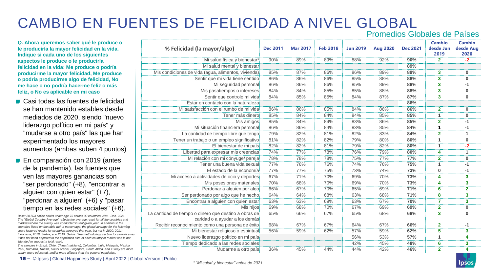#### CAMBIO EN FUENTES DE FELICIDAD A NIVEL GLOBAL

Promedios Globales de Países

**Q. Ahora queremos saber qué le produce o le produciría la mayor felicidad en la vida. Indique si cada uno de los siguientes aspectos le produce o le produciría felicidad en la vida: Me produce o podría producirme la mayor felicidad, Me produce o podría producirme algo de felicidad, No me hace o no podría hacerme feliz o más feliz, o No es aplicable en mi caso**

- Casi todas las fuentes de felicidad se han mantenido estables desde mediados de 2020, siendo "nuevo liderazgo político en mi país" y "mudarse a otro país" las que han experimentado los mayores aumentos (ambas suben 4 puntos)
- **En comparación con 2019 (antes** de la pandemia), las fuentes que ven las mayores ganancias son "ser perdonado" (+8), "encontrar a alguien con quien estar" (+7), "perdonar a alguien" (+6) y "pasar tiempo en las redes sociales" (+6).

*Base: 20,504 online adults under age 75 across 30 countries, Nov.–Dec. 2021 The "Global Country Average" reflects the average result for all the countries and markets where the survey was conducted in that given year. In addition to the countries listed on the table with a percentage, the global average for the following years factored results for countries surveyed that year, but not in 2020: 2011: Indonesia; 2018: Serbia; and 2019: Serbia. See methodology section for sample sizes. It has not been adjusted to the population size of each country or market and is not intended to suggest a total result.* 

*The samples in Brazil, Chile, China (mainland), Colombia, India, Malaysia, Mexico, Peru, Romania, Russia, Saudi Arabia, Singapore, South Africa, and Turkey are more urban, more educated, and/or more affluent than the general population.* 

| % Felicidad (la mayor/algo)                                                             | <b>Dec 2011</b> | <b>Mar 2017</b> | <b>Feb 2018</b> | <b>Jun 2019</b> | <b>Aug 2020</b> | <b>Dec 2021</b> | <b>Cambio</b><br>desde Jun<br>2019 | <b>Cambio</b><br>desde Aug<br>2020 |
|-----------------------------------------------------------------------------------------|-----------------|-----------------|-----------------|-----------------|-----------------|-----------------|------------------------------------|------------------------------------|
| Mi salud física y bienestar*                                                            | 90%             | 89%             | 89%             | 88%             | 92%             | 90%             | $\overline{2}$                     | $-2$                               |
| Mi salud mental y bienestar                                                             |                 |                 |                 |                 |                 | 89%             |                                    |                                    |
| Mis condiciones de vida (agua, alimentos, vivienda)                                     | 85%             | 87%             | 86%             | 86%             | 89%             | 89%             | 3                                  | $\pmb{0}$                          |
| Sentir que mi vida tiene sentido                                                        | 86%             | 86%             | 86%             | 85%             | 88%             | 88%             | 3                                  | $\bf{0}$                           |
| Mi seguridad personal                                                                   | 86%             | 86%             | 86%             | 85%             | 89%             | 88%             | 3                                  | $-1$                               |
| Mis pasatiempos o intereses                                                             | 84%             | 84%             | 85%             | 85%             | 88%             | 88%             | 3                                  | $\bf{0}$                           |
| Sentir que controlo mi vida                                                             | 84%             | 85%             | 85%             | 84%             | 87%             | 87%             | 3                                  | $\pmb{0}$                          |
| Estar en contacto con la naturaleza                                                     |                 |                 |                 |                 |                 | 86%             |                                    |                                    |
| Mi satisfacción con el rumbo de mi vida                                                 | 86%             | 86%             | 85%             | 84%             | 86%             | 86%             | $\overline{\mathbf{2}}$            | $\pmb{0}$                          |
| Tener más dinero                                                                        | 85%             | 84%             | 84%             | 84%             | 85%             | 85%             | 1                                  | $\pmb{0}$                          |
| Mis amigos                                                                              | 85%             | 84%             | 84%             | 83%             | 86%             | 85%             | $\overline{2}$                     | $-1$                               |
| Mi situación financiera personal                                                        | 86%             | 86%             | 84%             | 83%             | 85%             | 84%             | $\mathbf{1}$                       | $-1$                               |
| La cantidad de tiempo libre que tengo                                                   | 79%             | 82%             | 81%             | 82%             | 83%             | 84%             | $\overline{2}$                     | 1                                  |
| Tener un trabajo o un empleo significativo                                              | 81%             | 82%             | 82%             | 79%             | 80%             | 80%             | 1                                  | $\pmb{0}$                          |
| El bienestar de mi país                                                                 | 82%             | 82%             | 81%             | 79%             | 82%             | 80%             | 1                                  | $-2$                               |
| Libertad para expresar mis creencias                                                    | 74%             | 77%             | 78%             | 76%             | 79%             | 80%             | 4                                  | $\mathbf{1}$                       |
| Mi relación con mi cónyuge/ pareja                                                      | 78%             | 78%             | 78%             | 75%             | 77%             | 77%             | $\mathbf{2}$                       | $\pmb{0}$                          |
| Tener una buena vida sexual                                                             | 77%             | 76%             | 76%             | 74%             | 76%             | 75%             | 1                                  | $-1$                               |
| El estado de la economía                                                                | 77%             | 77%             | 75%             | 73%             | 74%             | 73%             | $\bf{0}$                           | $-1$                               |
| Mi acceso a actividades de ocio y deportes                                              | 67%             | 71%             | 70%             | 69%             | 70%             | 73%             | 4                                  | 3                                  |
| Mis posesiones materiales                                                               | 70%             | 68%             | 70%             | 69%             | 70%             | 73%             | 4                                  | 3                                  |
| Perdonar a alguien por algo                                                             | 66%             | 67%             | 70%             | 65%             | 69%             | 71%             | 6                                  | $\overline{2}$                     |
| Ser perdonado por algo que he hecho                                                     | 64%             | 64%             | 68%             | 63%             | 68%             | 71%             | 8                                  | $\overline{\mathbf{3}}$            |
| Encontrar a alguien con quien estar                                                     | 63%             | 63%             | 69%             | 63%             | 67%             | 70%             | $\overline{7}$                     | $\overline{\mathbf{3}}$            |
| Mis hijos                                                                               | 69%             | 68%             | 70%             | 67%             | 69%             | 69%             | $\overline{\mathbf{2}}$            | $\pmb{0}$                          |
| La cantidad de tiempo o dinero que destino a obras de<br>caridad o a ayudar a los demás | 65%             | 66%             | 67%             | 65%             | 68%             | 68%             | 3                                  | $\bf{0}$                           |
| Recibir reconocimiento como una persona de éxito                                        | 68%             | 67%             | 67%             | 64%             | 67%             | 66%             | $\overline{2}$                     | $-1$                               |
| Mi bienestar religioso o espiritual                                                     | 56%             | 59%             | 62%             | 57%             | 59%             | 62%             | 5                                  | 3                                  |
| Nuevo liderazgo político en mi país                                                     |                 |                 |                 | 56%             | 53%             | 57%             | 1                                  | 4                                  |
| Tiempo dedicado a las redes sociales                                                    |                 |                 |                 | 42%             | 45%             | 48%             | 6                                  | 3                                  |
| Mudarme a otro país                                                                     | 36%             | 45%             | 44%             | 44%             | 42%             | 46%             | $\overline{\mathbf{2}}$            | 4                                  |
|                                                                                         |                 |                 |                 |                 |                 |                 |                                    |                                    |

15 **‒** © Ipsos | Global Happiness Study | April 2022 | Global Version | Public

*\* "Mi salud y bienestar" antes de 2021*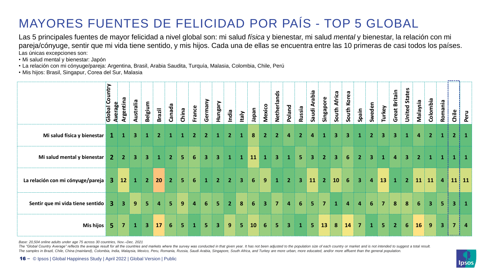#### MAYORES FUENTES DE FELICIDAD POR PAÍS - TOP 5 GLOBAL

Las 5 principales fuentes de mayor felicidad a nivel global son: mi salud *física* y bienestar, mi salud *mental* y bienestar, la relación con mi pareja/cónyuge, sentir que mi vida tiene sentido, y mis hijos. Cada una de ellas se encuentra entre las 10 primeras de casi todos los países. Las únicas excepciones son:

- Mi salud mental y bienestar: Japón
- La relación con mi cónyuge/pareja: Argentina, Brasil, Arabia Saudita, Turquía, Malasia, Colombia, Chile, Perú
- Mis hijos: Brasil, Singapur, Corea del Sur, Malasia

|                                   | Global Country | Argentina<br>Average    | Australia    | Belgium        | Brazil | Canada         | China          | France         | Germany        | Hungary        | India          | Italy                   | neder       | Mexico         | Netherlands    | <b>Poland</b>  | Russia                  | Saudi Arabia   | Singapore      | South Africa   | South Korea | Spain          | Sweden       | Turkey         | Great Britain  | <b>United States</b> | Malaysia       | Colombia       | Romania                 | Chile                   | Peru         |
|-----------------------------------|----------------|-------------------------|--------------|----------------|--------|----------------|----------------|----------------|----------------|----------------|----------------|-------------------------|-------------|----------------|----------------|----------------|-------------------------|----------------|----------------|----------------|-------------|----------------|--------------|----------------|----------------|----------------------|----------------|----------------|-------------------------|-------------------------|--------------|
| Mi salud física y bienestar       | 1              |                         | 3.           |                |        |                |                |                |                |                |                |                         |             |                |                |                |                         | 4              |                |                |             |                |              |                |                |                      | 4              | 2 <sup>1</sup> |                         | $\vert 2 \vert$         | $\mathbf{1}$ |
| Mi salud mental y bienestar       | 2 <sup>1</sup> | $\overline{2}$          | 3            | $\mathbf{3}$   |        | 2              | 5.             | 6              | 3              | 3              |                | 1                       | 11          |                |                |                | 5                       | 3              | $\mathbf{2}$   | 3              | 6           |                |              |                | 4              | 3                    | 2 <sup>1</sup> |                |                         |                         | $\mathbf{1}$ |
| La relación con mi cónyuge/pareja | 3              | 12                      | $\mathbf{1}$ | 2 <sup>1</sup> | 20     | $\overline{2}$ | 5              | 6              | $\mathbf{1}$   | 2 <sup>1</sup> | 2 <sup>7</sup> | $\overline{\mathbf{3}}$ | $6^{\circ}$ | 9              | $\mathbf{1}$   | 2 <sup>1</sup> | $\overline{\mathbf{3}}$ | 11             | 2 <sup>1</sup> | 10             | 6           | $\overline{3}$ | 4            | 13             | $\mathbf{1}$   | 2 <sup>1</sup>       |                | $11 \quad 11$  | $\overline{4}$          |                         | $11$ 11      |
| Sentir que mi vida tiene sentido  | $\mathbf{3}$   | $\overline{\mathbf{3}}$ | 9            | 5 <sup>1</sup> | 4      | 5.             | 9 <sup>°</sup> | $\overline{4}$ | 6              | 5 <sup>1</sup> | 2 <sup>1</sup> | 8                       | 6           | $\overline{3}$ | $\overline{7}$ | 4              | 6                       | 5              |                |                |             | 4              | 6            | $\overline{7}$ | 8              | 8                    | 6              | 3 <sup>1</sup> | $\overline{\mathbf{5}}$ | $\overline{\mathbf{3}}$ | $\bf{1}$     |
| <b>Mis hijos</b>                  | 5              | 7                       | 1            | 3 <sup>1</sup> | 17     | 6              | 5.             | $\mathbf 1$    | 5 <sup>1</sup> | 3 <sup>1</sup> | 9 <sup>°</sup> | 5 <sup>1</sup>          | 10          | 6              | 5.             | $\mathbf{3}$   |                         | 5 <sup>5</sup> | 13             | $8\phantom{1}$ | 14          | $\overline{7}$ | $\mathbf{1}$ | 5 <sub>1</sub> | 2 <sup>1</sup> | $6\phantom{1}$       | 16             | 9 <sup>°</sup> | 3 <sup>1</sup>          |                         | $7 \mid 4$   |

*Base: 20,504 online adults under age 75 across 30 countries, Nov.–Dec. 2021*

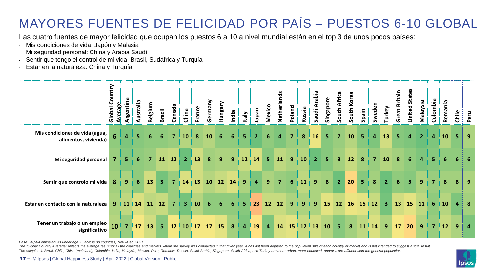#### MAYORES FUENTES DE FELICIDAD POR PAÍS – PUESTOS 6-10 GLOBAL

Las cuatro fuentes de mayor felicidad que ocupan los puestos 6 a 10 a nivel mundial están en el top 3 de unos pocos países:

- Mis condiciones de vida: Japón y Malasia
- Mi seguridad personal: China y Arabia Saudí
- Sentir que tengo el control de mi vida: Brasil, Sudáfrica y Turquía
- Estar en la naturaleza: China y Turquía

|                                                        | ountry<br>p<br>Average<br>Global | Argentina      | Australia       | Belgium                 | Brazil         | Canada         | China                   | France    | Germany | Hungary   | India          | Italy          | neder          | Mexico         | Netherlands | Poland    | Russia | Saudi Arabia   | Singapore      | South Africa   | South Korea | Spain     | Sweden         | Turkey         | Great Britain | <b>United States</b> | Malaysia       | Colombia       | Romania         | Chile | Peru |
|--------------------------------------------------------|----------------------------------|----------------|-----------------|-------------------------|----------------|----------------|-------------------------|-----------|---------|-----------|----------------|----------------|----------------|----------------|-------------|-----------|--------|----------------|----------------|----------------|-------------|-----------|----------------|----------------|---------------|----------------------|----------------|----------------|-----------------|-------|------|
| Mis condiciones de vida (agua,<br>alimentos, vivienda) | 6                                | 4              | 5               | 6                       | 6              | $\overline{7}$ | <b>10</b>               | 8         | 10      | 6         | 6              | 5.             | 2 <sup>1</sup> | 6              |             | 7         | 8      | 16             | 5              | 7              | 10          | 5         | 4              | 13             | 5             | 4                    | 2 <sup>1</sup> | $\overline{a}$ | 10 <sub>1</sub> | 5     | -9   |
| Mi seguridad personal                                  | 7                                | 5              | $6\phantom{1}6$ | $\overline{\mathbf{z}}$ | 11             | <b>12</b>      | 2 <sup>1</sup>          | 13        | 8       | 9         | 9              | 12             | 14             | $5\phantom{1}$ | 11          | 9         | 10     | $\overline{2}$ | 5 <sup>1</sup> | 8              | 12          | 8         | $\overline{7}$ | 10             | 8             | 6                    | $\overline{4}$ | 5 <sup>1</sup> | 6               | 6     | -6   |
| Sentir que controlo mi vida                            | 8                                | 9              | 6               | 13                      | $\mathbf{3}$   | $\overline{7}$ | 14                      | 13        | 10      | 12        | 14             | 9              | 4              | 9              | 7           | 6         | 11     | 9              | 8              | 2 <sup>1</sup> | 20          | 5         | 8              | $\overline{2}$ | 6             | 5                    | 9              | 7 <sup>7</sup> | 8               | 8     | -9   |
| Estar en contacto con la naturaleza                    | 9                                | <b>11</b>      | 14              | 11                      | <b>12</b>      | $\overline{7}$ | $\overline{\mathbf{3}}$ | <b>10</b> | 6       | 6         | 6              | 5.             | 23             | 12             | 12          | 9         | 9      | 9              | 15             | 12             | <b>16</b>   | <b>15</b> | 12             | 3 <sup>2</sup> | 13            | <b>15</b>            | 11             | 6              | 10 <sub>1</sub> | 4     | - 8  |
| Tener un trabajo o un empleo<br>significativo          | 10                               | $\overline{7}$ | 17              | 13                      | 5 <sub>1</sub> | 17             | 10                      | 17        | 17      | <b>15</b> | 8 <sup>°</sup> | $\overline{4}$ | <b>19</b>      | 4              | 14          | <b>15</b> | 12     | <b>13</b>      | <b>10</b>      | 5.             | 8           | 11        | 14             | 9              | 17            | 20                   | 9              | $\overline{7}$ | 12              | 9     | 4    |

*Base: 20,504 online adults under age 75 across 30 countries, Nov.–Dec. 2021*

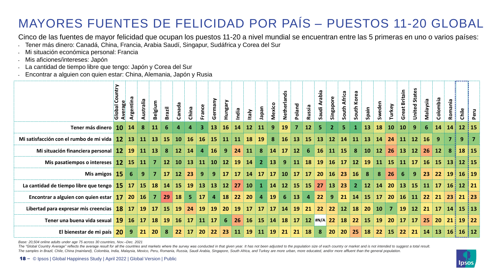#### MAYORES FUENTES DE FELICIDAD POR PAÍS – PUESTOS 11-20 GLOBAL

Cinco de las fuentes de mayor felicidad que ocupan los puestos 11-20 a nivel mundial se encuentran entre las 5 primeras en uno o varios países:

- Tener más dinero: Canadá, China, Francia, Arabia Saudí, Singapur, Sudáfrica y Corea del Sur
- Mi situación económica personal: Francia
- Mis aficiones/intereses: Japón
- La cantidad de tiempo libre que tengo: Japón y Corea del Sur
- Encontrar a alguien con quien estar: China, Alemania, Japón y Rusia

|                                                      | ntry<br>Global | Argentina     | Australia | Belgium         | <b>Brazil</b>   | $\boldsymbol{\sigma}$<br>Canad <sub>a</sub> | China          | France         | Germany        | <b>Hungary</b> | India     | <b>Italy</b>    | napan          | Mexico    | nds<br>Netherla | Poland    | Russia    | Saudi Arabia | Singapore         | South Africa | South Korea    | Spain           | Sweden            | Turkey          | <b>Britain</b><br>reat<br>O | States<br>United:  | Malaysia  | Colombia                  | nia<br>Roma     | Chile | Peru            |
|------------------------------------------------------|----------------|---------------|-----------|-----------------|-----------------|---------------------------------------------|----------------|----------------|----------------|----------------|-----------|-----------------|----------------|-----------|-----------------|-----------|-----------|--------------|-------------------|--------------|----------------|-----------------|-------------------|-----------------|-----------------------------|--------------------|-----------|---------------------------|-----------------|-------|-----------------|
| Tener más dinero                                     |                | 10 14         | 8         | <b>11</b>       |                 |                                             | 4              | $\overline{3}$ | 13             | <b>16</b>      | 14        | 12              | 11             |           | 19              |           | <b>12</b> |              |                   | 5            |                | 13              | 18                | <b>10</b>       | 10 <sup>°</sup>             | 9                  | 6         | 14                        | 14              |       | $12 \mid 15$    |
| Mi satisfacción con el rumbo de mi vida              |                | $12 \quad 13$ | -11       | <b>13</b>       | -15             | 10 <sup>°</sup>                             | <b>16</b>      | <b>16</b>      | <b>15</b>      | <b>11</b>      | <b>11</b> | <b>18</b>       | <b>19</b>      | -8        | <b>16</b>       | 13        | <b>15</b> | 13           | $12 \overline{ }$ | <b>14</b>    | <b>11</b>      | <b>13</b>       | 14                | -24             | -11                         | <b>12</b>          | <b>16</b> | 9                         |                 | 9     | 7               |
| Mi situación financiera personal 12 19               |                |               |           | $11 \quad 13$   | 8 <sup>°</sup>  | 12                                          | <b>14</b>      | $\overline{4}$ | <b>16</b>      | $9^{\circ}$    |           | $24 \quad 11$   | 8              | 14        | <b>17</b>       | 12        | 6         | <b>16</b>    | 11 15             |              | 8 <sup>°</sup> | 10 <sup>°</sup> | 12 <sup>1</sup>   | <b>26</b>       | <b>13</b>                   | 12                 | <b>26</b> | 12 <sup>2</sup>           | 8               |       | $18 \mid 15$    |
| Mis pasatiempos o intereses 12 15                    |                |               | <b>11</b> | 7               |                 | $12 \quad 10 \quad 13$                      |                | <b>11</b>      | <b>10</b>      | 12             | <b>19</b> | <b>14</b>       | 2 <sup>1</sup> | 13        | 9               | 11        | <b>18</b> | 19           | <b>16</b>         | 17           | 12             | <b>19</b>       | 11                | <b>15</b>       | <b>11</b>                   | <b>17</b>          | <b>16</b> | <b>15</b>                 | <b>13</b>       |       | $12 \,   \, 15$ |
| Mis amigos 15                                        |                | 6             | 9         | <b>7</b>        | 17 <sup>1</sup> | 12                                          | 23             | 9 <sup>°</sup> | 9              | <b>17</b>      | <b>17</b> | 14              | 17             | <b>17</b> | 10              | <b>17</b> | <b>17</b> | 20           | <b>16</b>         | 23           | $\vert$ 16     | 8               | -8                | 26              | 6                           | $\overline{9}$     | 23        |                           |                 |       | $16 \mid 19$    |
| La cantidad de tiempo libre que tengo $15$ 17        |                |               | <b>15</b> | 18              |                 | $14 \quad 15$                               | <b>19</b>      | <b>13</b>      | <b>13</b>      |                |           | 12 27 10        | $\mathbf{1}$   | 14        | 12              | 15        | <b>15</b> | 27           | $\vert$ 13        | 23           | 2 <sup>1</sup> |                 | $12 \mid 14 \mid$ | 20              |                             | 13 15              |           | $11 \quad 17 \quad 16$    |                 |       | $12 \mid 21$    |
| Encontrar a alguien con quien estar 17 20            |                |               | <b>16</b> | $\overline{7}$  | 29              | <b>18</b>                                   | 5 <sub>1</sub> | 17             | $\overline{4}$ | <b>18</b>      | 22        | 20 <sub>2</sub> | $\overline{4}$ | 19        | 6               | 13        | 4         | 22           | 9 <sup>°</sup>    | 21           | 14             | <b>15</b>       | 17                | <b>20</b>       | 16                          | $\vert$ 11 $\vert$ | 22        | 21                        | <b>23</b>       |       | $21 \mid 23$    |
| Libertad para expresar mis creencias $\boxed{18}$ 17 |                |               | <b>19</b> | 17              | <b>15</b>       | <b>19</b>                                   | 24             | <b>19</b>      | <b>19</b>      | 20             | <b>19</b> | 17              | <b>17</b>      | <b>17</b> | 14              | <b>19</b> | 21        | 22           |                   | 22 12 18     |                | 20 <sup>1</sup> | <b>10</b>         | $\overline{7}$  |                             | $19$ 12            |           | $21 \mid 17 \mid 14 \mid$ |                 |       | $15 \mid 13$    |
| Tener una buena vida sexual                          |                | 19 16         | <b>17</b> | <b>18</b>       | <b>19</b>       | <b>16</b>                                   | <b>17</b>      | <b>11</b>      | 17             | 6              | 26        | <b>16</b>       | <b>15</b>      | <b>14</b> | <b>18</b>       | <b>17</b> |           | $12$ #N/A 22 |                   | <b>18</b>    | 22             | <b>15</b>       | <b>19</b>         | 20 <sup>°</sup> | <b>17</b>                   | <b>17</b>          | 25        | 20 <sub>2</sub>           | 21 <sup>1</sup> |       | $19 \mid 22$    |
| El bienestar de mi país                              | <b>20</b>      | $9^{\circ}$   | 21        | 20 <sub>2</sub> | 8               | 22                                          | <b>17</b>      | 20             | 22             | 23             | <b>11</b> | <b>19</b>       | <b>11</b>      | <b>19</b> | 21              | 21        | <b>18</b> | 8            | <b>20</b>         | <b>20</b>    | 25             | 18              | 22                | <b>15</b>       | 22                          | 21                 | 14        | <b>13</b>                 | <b>16</b>       |       | $16 \,   \, 12$ |

*Base: 20,504 online adults under age 75 across 30 countries, Nov.–Dec. 2021*

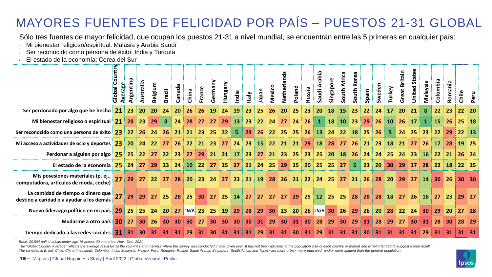#### MAYORES FUENTES DE FELICIDAD POR PAÍS – PUESTOS 21-31 GLOBAL

Sólo tres fuentes de mayor felicidad, que ocupan los puestos 21-31 a nivel mundial, se encuentran entre las 5 primeras en cualquier país:

- Mi bienestar religioso/espiritual: Malasia y Arabia Saudí
- Ser reconocido como persona de éxito: India y Turquía
- El estado de la economía: Corea del Sur

|                                                                                                                                                                                                                                                                                                                                                                                                                                                                                                                                                                                                                                 | Global Country<br>Average | <b>Argentin</b> | Australia       | Belgium | <b>Brazil</b>      | <b>G</b><br>Canad <sub>i</sub> | China           | France             | Germany   | ≿<br>Hungar | India          | <b>Vieh</b> | neder | Mexico | <b>S</b><br>70<br>Netherlan | <b>Poland</b> | Russia | Saudi Arabia | Singapore | South Africa | South Korea    | Spain | Sweden    | Turkey    | <b>Britain</b><br>Great | <b>States</b><br>United: | Malaysia        | Colombia     | εiη<br>Roma | Chile | Peru         |
|---------------------------------------------------------------------------------------------------------------------------------------------------------------------------------------------------------------------------------------------------------------------------------------------------------------------------------------------------------------------------------------------------------------------------------------------------------------------------------------------------------------------------------------------------------------------------------------------------------------------------------|---------------------------|-----------------|-----------------|---------|--------------------|--------------------------------|-----------------|--------------------|-----------|-------------|----------------|-------------|-------|--------|-----------------------------|---------------|--------|--------------|-----------|--------------|----------------|-------|-----------|-----------|-------------------------|--------------------------|-----------------|--------------|-------------|-------|--------------|
| Ser perdonado por algo que he hecho 21                                                                                                                                                                                                                                                                                                                                                                                                                                                                                                                                                                                          |                           | 23              | 20 <sub>2</sub> | 20      | 24                 | 20                             | 26              | 26                 | <b>19</b> | 24          | 19             | 23          | 25    | 26     | 20                          | 25            | 23     | 20           | 18        | <b>15</b>    | 23             | 22    | 24        | 17        | 20                      | 21                       | 8               | 22           | 23          | 22    | 20           |
| Mi bienestar religioso o espiritual $21$                                                                                                                                                                                                                                                                                                                                                                                                                                                                                                                                                                                        |                           | 28              | 23 <sub>2</sub> | 29      | 8                  | 24                             | 28              | 27                 | 27        | 29          | 13             | 23          | 22    | 24     | 27                          | 24            | 26     | $\mathbf{1}$ | <b>18</b> | <b>10</b>    | 23             | 29    | 26        | <b>10</b> | 26                      | 17                       | 1               | <b>15</b>    | <b>26</b>   | 25    | <b>18</b>    |
| Ser reconocido como una persona de éxito   23   22                                                                                                                                                                                                                                                                                                                                                                                                                                                                                                                                                                              |                           |                 | 26              | 24      | <b>26</b>          | 21                             | 21              | 23                 | 25        | 22          | 5 <sub>1</sub> | 29          | 26    | 22     | 25                          | 25            | 26     | <b>13</b>    | 24        | 22           | <b>18</b>      | 25    | 26        | 5.        | 24                      | 25                       | 23              | 22           | 29          | 22    | 13           |
| Mi acceso a actividades de ocio y deportes $\begin{array}{ c c c }\n\hline\n23 & 20 & 24 \\ \hline\n\end{array}$                                                                                                                                                                                                                                                                                                                                                                                                                                                                                                                |                           |                 |                 |         | $22 \overline{27}$ | <b>26</b>                      |                 | $22$ 21            | 23        | 27          | 24             | 23          |       |        | 15 22 21                    | 21            | 29     | <b>18</b>    | 28        | $\sqrt{27}$  | 26             | 21    | 23        | <b>18</b> | 21                      | 27                       | 26              | <b>17</b>    | 28          | 19    | <b>25</b>    |
| Perdonar a alguien por algo $25$ 25 22 27 22 23                                                                                                                                                                                                                                                                                                                                                                                                                                                                                                                                                                                 |                           |                 |                 |         |                    |                                | 27              | 29                 |           | $21$ 21 17  |                | 23          |       |        | 27 21 23                    | 25            |        | $23 \mid 25$ | <b>20</b> | 18           | <b>26</b>      | 24    | 24        | 25        | $\vert$ 24 $\vert$      | 23 <sup>°</sup>          | 16 <sup>1</sup> | $22 \mid 21$ |             | 26    | 24           |
| El estado de la economía 25 24                                                                                                                                                                                                                                                                                                                                                                                                                                                                                                                                                                                                  |                           |                 | 27              | 29      | 23                 | 24                             | 10 <sup>°</sup> | $\vert$ 22 $\vert$ | 27        | 25          | 27             | 21          | 24    | 25     | 29                          | 25            | 20     | 25           | 25        | 27           | 5 <sub>1</sub> | 23    | <b>20</b> |           | 30 29                   | 27                       | 28              | 22           | <b>18</b>   | 22    | 25           |
| Mis posesiones materiales (p. ej., $27$<br>computadora, artículos de moda, coche)                                                                                                                                                                                                                                                                                                                                                                                                                                                                                                                                               |                           | 29              | 27              | 22      | 27                 | 28                             | <b>20</b>       | 23                 | 24        | 27          | 23             | 21          | 19    | 28     | <b>26</b>                   | 21            | 22     | 24           | 25        | $\sqrt{27}$  | 21             | 26    | 28        | <b>20</b> | 29                      | <b>27</b>                | 14              | 30           | <b>26</b>   |       | 30 30        |
| La cantidad de tiempo o dinero que<br>destino a caridad o a ayudar a los demás                                                                                                                                                                                                                                                                                                                                                                                                                                                                                                                                                  |                           | 29              | 29              | 27      | 25                 | 28                             | 25              | 30                 | 27        | 25          | 14             | 27          | 27    | 27     | 27                          | 29            | 25     | 12 25        |           | $\vert$ 25   | 28             | 28    | 28        | <b>18</b> | 27                      | 26                       | <b>16</b>       | 27           | 23          | 29    | -27          |
| Nuevo liderazgo político en mi país 29                                                                                                                                                                                                                                                                                                                                                                                                                                                                                                                                                                                          |                           | 25              | 25              | 24      | <b>20</b>          |                                | 27 #N/A 23      |                    | 25        | 19          | 29             | 28          | 29    | 30     | 23                          | <b>20</b>     |        | 26 #N/A 30   |           | 26           | 29             | 26    | <b>20</b> | 28        | 22                      | 24                       | 30              | 29           | <b>20</b>   | 27    | 28           |
| Mudarme a otro país 30                                                                                                                                                                                                                                                                                                                                                                                                                                                                                                                                                                                                          |                           | 27              | 30              | 26      | 30                 | 30                             | 30              | 27                 | 30        | 30          | 30             | 30          | 31    | 29     | 30                          | 31            | 30     | 28           | 29        | 30           | 29             | 31    | 28        | 29        | 27                      | 30                       | 31              | 28           | 30          | 28    | 29           |
| Tiempo dedicado a las redes sociales 31 31                                                                                                                                                                                                                                                                                                                                                                                                                                                                                                                                                                                      |                           |                 | 30              | 31      | 31                 | 31                             | 29              | 31                 | 30        | 31          | 31             | 31          | 29    | 31     | 31                          | 30            | 31     | 29           | 31        | 31           | 31             | 30    | 31        | 31        | 31                      | 31                       | 29              | 31           | 31          |       | $31 \mid 31$ |
| Base: 20,504 online adults under age 75 across 30 countries, Nov.-Dec. 2021<br>The "Global Country Average" reflects the average result for all the countries and markets where the survey was conducted in that given year. It has not been adjusted to the population size of each country or market and is<br>The samples in Brazil, Chile, China (mainland), Colombia, India, Malaysia, Mexico, Peru, Romania, Russia, Saudi Arabia, Singapore, South Africa, and Turkey are more urban, more educated, and/or more affluent than the gener<br>19 - © Ipsos   Global Happiness Study   April 2022   Global Version   Public |                           |                 |                 |         |                    |                                |                 |                    |           |             |                |             |       |        |                             |               |        |              |           |              |                |       |           |           |                         |                          |                 |              |             |       |              |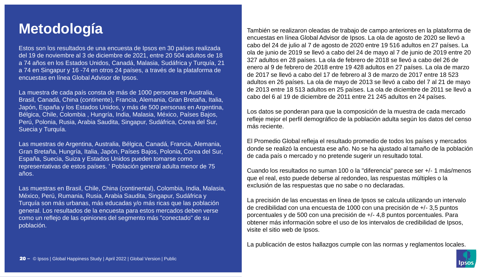Estos son los resultados de una encuesta de Ipsos en 30 países realizada del 19 de noviembre al 3 de diciembre de 2021, entre 20 504 adultos de 18 a 74 años en los Estados Unidos, Canadá, Malasia, Sudáfrica y Turquía, 21 a 74 en Singapur y 16 -74 en otros 24 países, a través de la plataforma de encuestas en línea Global Advisor de Ipsos.

La muestra de cada país consta de más de 1000 personas en Australia, Brasil, Canadá, China (continente), Francia, Alemania, Gran Bretaña, Italia, Japón, España y los Estados Unidos, y más de 500 personas en Argentina, Bélgica, Chile, Colombia , Hungría, India, Malasia, México, Países Bajos, Perú, Polonia, Rusia, Arabia Saudita, Singapur, Sudáfrica, Corea del Sur, Suecia y Turquía.

Las muestras de Argentina, Australia, Bélgica, Canadá, Francia, Alemania, Gran Bretaña, Hungría, Italia, Japón, Países Bajos, Polonia, Corea del Sur, España, Suecia, Suiza y Estados Unidos pueden tomarse como representativas de estos países. ' Población general adulta menor de 75 años.

Las muestras en Brasil, Chile, China (continental), Colombia, India, Malasia, México, Perú, Rumania, Rusia, Arabia Saudita, Singapur, Sudáfrica y Turquía son más urbanas, más educadas y/o más ricas que las población general. Los resultados de la encuesta para estos mercados deben verse como un reflejo de las opiniones del segmento más "conectado" de su población.

**Metodología** También se realizaron oleadas de trabajo de campo anteriores en la plataforma de encuestas en línea Global Advisor de Ipsos. La ola de agosto de 2020 se llevó a cabo del 24 de julio al 7 de agosto de 2020 entre 19 516 adultos en 27 países. La ola de junio de 2019 se llevó a cabo del 24 de mayo al 7 de junio de 2019 entre 20 327 adultos en 28 países. La ola de febrero de 2018 se llevó a cabo del 26 de enero al 9 de febrero de 2018 entre 19 428 adultos en 27 países. La ola de marzo de 2017 se llevó a cabo del 17 de febrero al 3 de marzo de 2017 entre 18 523 adultos en 26 países. La ola de mayo de 2013 se llevó a cabo del 7 al 21 de mayo de 2013 entre 18 513 adultos en 25 países. La ola de diciembre de 2011 se llevó a cabo del 6 al 19 de diciembre de 2011 entre 21 245 adultos en 24 países.

> Los datos se ponderan para que la composición de la muestra de cada mercado refleje mejor el perfil demográfico de la población adulta según los datos del censo más reciente.

> El Promedio Global refleja el resultado promedio de todos los países y mercados donde se realizó la encuesta ese año. No se ha ajustado al tamaño de la población de cada país o mercado y no pretende sugerir un resultado total.

> Cuando los resultados no suman 100 o la "diferencia" parece ser +/- 1 más/menos que el real, esto puede deberse al redondeo, las respuestas múltiples o la exclusión de las respuestas que no sabe o no declaradas.

La precisión de las encuestas en línea de Ipsos se calcula utilizando un intervalo de credibilidad con una encuesta de 1000 con una precisión de +/- 3,5 puntos porcentuales y de 500 con una precisión de +/- 4,8 puntos porcentuales. Para obtener más información sobre el uso de los intervalos de credibilidad de Ipsos, visite el sitio web de Ipsos.

La publicación de estos hallazgos cumple con las normas y reglamentos locales.

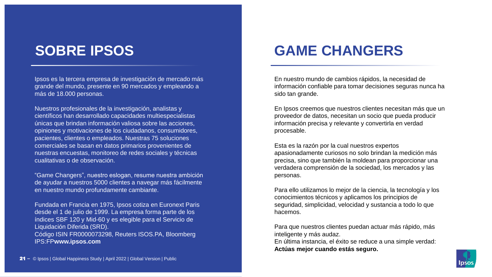#### **SOBRE IPSOS**

Ipsos es la tercera empresa de investigación de mercado más grande del mundo, presente en 90 mercados y empleando a más de 18.000 personas.

Nuestros profesionales de la investigación, analistas y científicos han desarrollado capacidades multiespecialistas únicas que brindan información valiosa sobre las acciones, opiniones y motivaciones de los ciudadanos, consumidores, pacientes, clientes o empleados. Nuestras 75 soluciones comerciales se basan en datos primarios provenientes de nuestras encuestas, monitoreo de redes sociales y técnicas cualitativas o de observación.

"Game Changers", nuestro eslogan, resume nuestra ambición de ayudar a nuestros 5000 clientes a navegar más fácilmente en nuestro mundo profundamente cambiante.

Fundada en Francia en 1975, Ipsos cotiza en Euronext Paris desde el 1 de julio de 1999. La empresa forma parte de los índices SBF 120 y Mid-60 y es elegible para el Servicio de Liquidación Diferida (SRD). Código ISIN FR0000073298, Reuters ISOS.PA, Bloomberg IPS:FP**www.ipsos.com**

#### **GAME CHANGERS**

En nuestro mundo de cambios rápidos, la necesidad de información confiable para tomar decisiones seguras nunca ha sido tan grande.

En Ipsos creemos que nuestros clientes necesitan más que un proveedor de datos, necesitan un socio que pueda producir información precisa y relevante y convertirla en verdad procesable.

Esta es la razón por la cual nuestros expertos apasionadamente curiosos no solo brindan la medición más precisa, sino que también la moldean para proporcionar una verdadera comprensión de la sociedad, los mercados y las personas.

Para ello utilizamos lo mejor de la ciencia, la tecnología y los conocimientos técnicos y aplicamos los principios de seguridad, simplicidad, velocidad y sustancia a todo lo que hacemos.

Para que nuestros clientes puedan actuar más rápido, más inteligente y más audaz.

En última instancia, el éxito se reduce a una simple verdad: **Actúas mejor cuando estás seguro.**